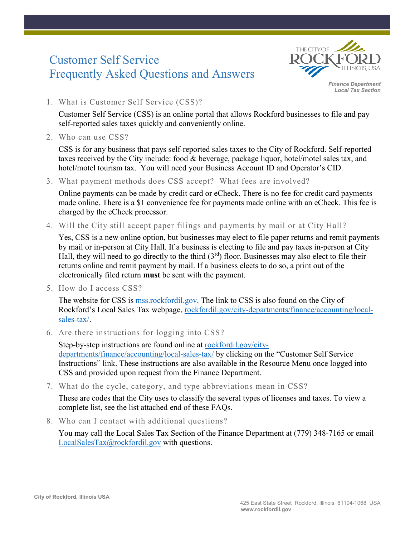# Customer Self Service Frequently Asked Questions and Answers



*Finance Department Local Tax Section*

1. What is Customer Self Service (CSS)?

Customer Self Service (CSS) is an online portal that allows Rockford businesses to file and pay self-reported sales taxes quickly and conveniently online.

2. Who can use CSS?

CSS is for any business that pays self-reported sales taxes to the City of Rockford. Self-reported taxes received by the City include: food & beverage, package liquor, hotel/motel sales tax, and hotel/motel tourism tax. You will need your Business Account ID and Operator's CID.

3. What payment methods does CSS accept? What fees are involved?

Online payments can be made by credit card or eCheck. There is no fee for credit card payments made online. There is a \$1 convenience fee for payments made online with an eCheck. This fee is charged by the eCheck processor.

4. Will the City still accept paper filings and payments by mail or at City Hall?

Yes, CSS is a new online option, but businesses may elect to file paper returns and remit payments by mail or in-person at City Hall. If a business is electing to file and pay taxes in-person at City Hall, they will need to go directly to the third  $(3<sup>rd</sup>)$  floor. Businesses may also elect to file their returns online and remit payment by mail. If a business elects to do so, a print out of the electronically filed return **must** be sent with the payment.

5. How do I access CSS?

The website for CSS is mss.rockfordil.gov. The link to CSS is also found on the City of Rockford's Local Sales Tax webpage, rockfordil.gov/city-departments/finance/accounting/localsales-tax/.

6. Are there instructions for logging into CSS?

Step-by-step instructions are found online at rockfordil.gov/citydepartments/finance/accounting/local-sales-tax/ by clicking on the "Customer Self Service Instructions" link. These instructions are also available in the Resource Menu once logged into CSS and provided upon request from the Finance Department.

7. What do the cycle, category, and type abbreviations mean in CSS?

These are codes that the City uses to classify the several types of licenses and taxes. To view a complete list, see the list attached end of these FAQs.

8. Who can I contact with additional questions?

You may call the Local Sales Tax Section of the Finance Department at (779) 348-7165 or email LocalSalesTax@rockfordil.gov with questions.